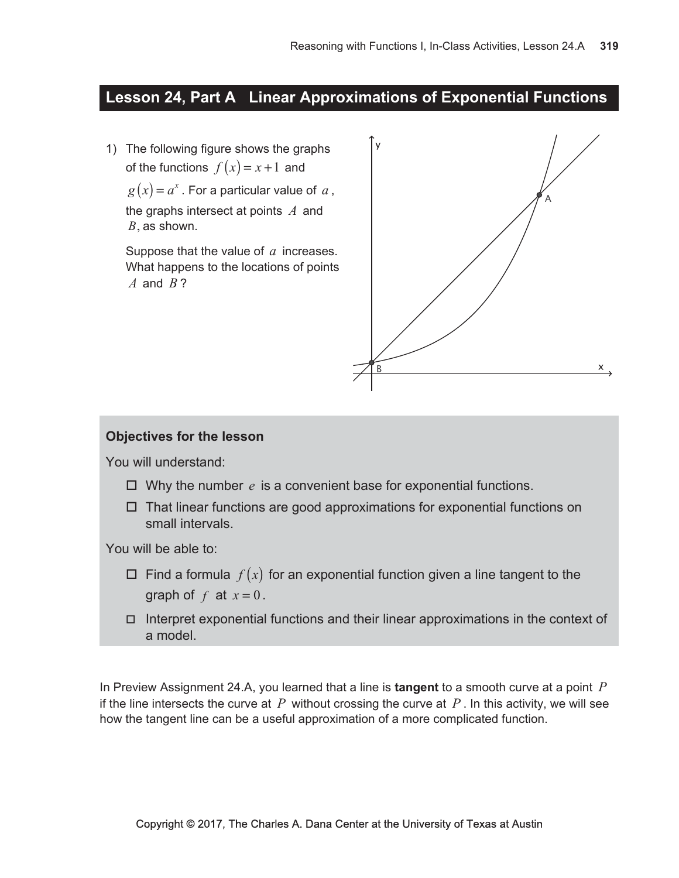# Lesson 24, Part A Linear Approximations of Exponential Functions

1) The following figure shows the graphs of the functions  $f(x) = x + 1$  and  $g(x) = a^x$ . For a particular value of a, the graphs intersect at points  $A$  and  $B$ , as shown.

Suppose that the value of  $a$  increases. What happens to the locations of points A and  $B$ ?



### **Objectives for the lesson**

You will understand:

- $\Box$  Why the number e is a convenient base for exponential functions.
- $\Box$  That linear functions are good approximations for exponential functions on small intervals.

You will be able to:

- $\Box$  Find a formula  $f(x)$  for an exponential function given a line tangent to the graph of  $f$  at  $x = 0$ .
- $\Box$  Interpret exponential functions and their linear approximations in the context of a model.

In Preview Assignment 24.A, you learned that a line is **tangent** to a smooth curve at a point  $P$ if the line intersects the curve at  $P$  without crossing the curve at  $P$ . In this activity, we will see how the tangent line can be a useful approximation of a more complicated function.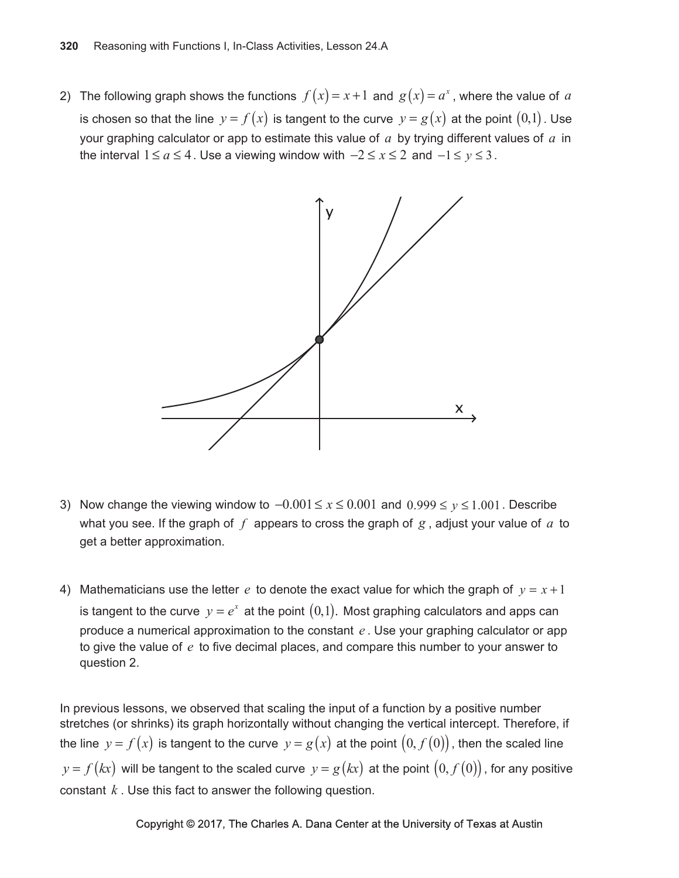2) The following graph shows the functions  $f(x) = x + 1$  and  $g(x) = a^x$ , where the value of a is chosen so that the line  $y = f(x)$  is tangent to the curve  $y = g(x)$  at the point  $(0,1)$ . Use your graphing calculator or app to estimate this value of  $a$  by trying different values of  $a$  in the interval  $1 \le a \le 4$ . Use a viewing window with  $-2 \le x \le 2$  and  $-1 \le y \le 3$ .



- 3) Now change the viewing window to  $-0.001 \le x \le 0.001$  and  $0.999 \le y \le 1.001$ . Describe what you see. If the graph of  $f$  appears to cross the graph of  $g$ , adjust your value of  $a$  to get a better approximation.
- 4) Mathematicians use the letter e to denote the exact value for which the graph of  $y = x + 1$ is tangent to the curve  $y = e^x$  at the point  $(0,1)$ . Most graphing calculators and apps can produce a numerical approximation to the constant  $e$ . Use your graphing calculator or app to give the value of  $e$  to five decimal places, and compare this number to your answer to question 2.

In previous lessons, we observed that scaling the input of a function by a positive number stretches (or shrinks) its graph horizontally without changing the vertical intercept. Therefore, if the line  $y = f(x)$  is tangent to the curve  $y = g(x)$  at the point  $(0, f(0))$ , then the scaled line  $y = f(kx)$  will be tangent to the scaled curve  $y = g(kx)$  at the point  $(0, f(0))$ , for any positive constant  $k$ . Use this fact to answer the following question.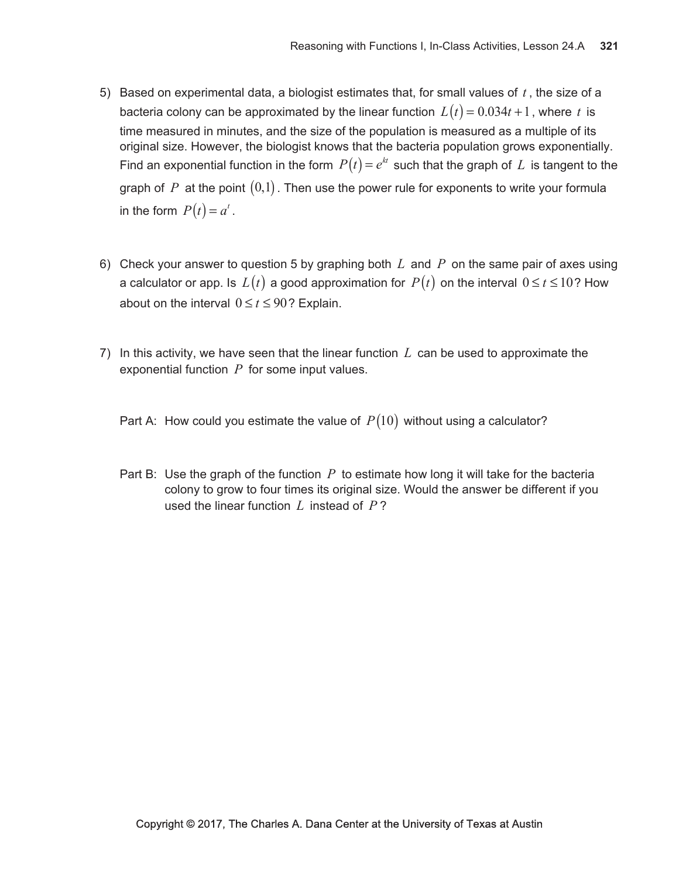- 5) Based on experimental data, a biologist estimates that, for small values of  $t$ , the size of a bacteria colony can be approximated by the linear function  $L(t) = 0.034t + 1$ , where t is time measured in minutes, and the size of the population is measured as a multiple of its original size. However, the biologist knows that the bacteria population grows exponentially. Find an exponential function in the form  $P(t) = e^{kt}$  such that the graph of L is tangent to the graph of P at the point  $(0,1)$ . Then use the power rule for exponents to write your formula in the form  $P(t) = a^t$ .
- 6) Check your answer to question 5 by graphing both L and P on the same pair of axes using a calculator or app. Is  $L(t)$  a good approximation for  $P(t)$  on the interval  $0 \le t \le 10$ ? How about on the interval  $0 \le t \le 90$ ? Explain.
- 7) In this activity, we have seen that the linear function  $L$  can be used to approximate the exponential function  $P$  for some input values.
	- Part A: How could you estimate the value of  $P(10)$  without using a calculator?
	- Part B: Use the graph of the function  $P$  to estimate how long it will take for the bacteria colony to grow to four times its original size. Would the answer be different if you used the linear function  $L$  instead of  $P$ ?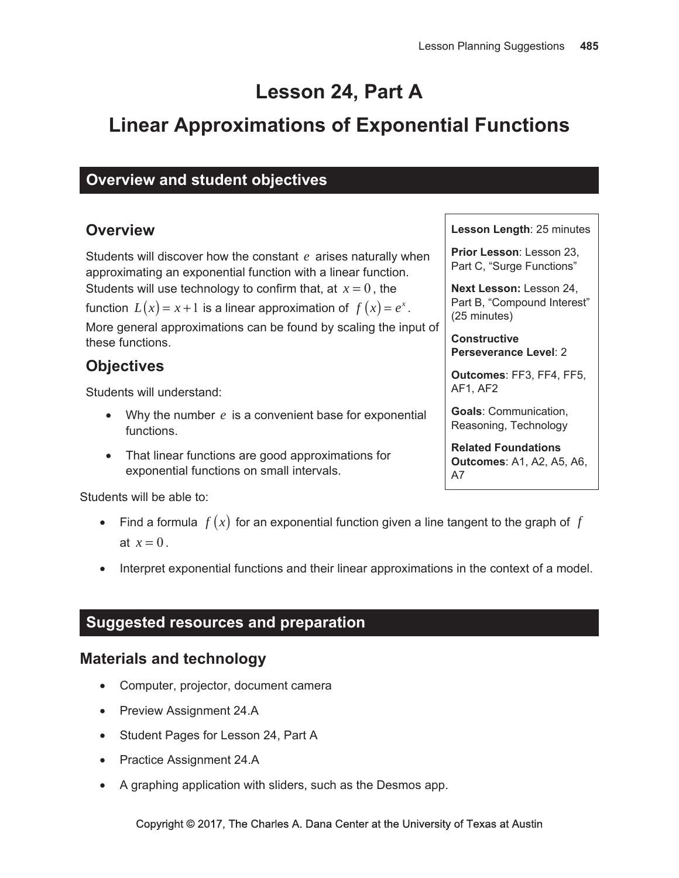# **Lesson 24, Part A**

# **Linear Approximations of Exponential Functions**

# **Overview and student objectives**

# **Overview**

Students will discover how the constant  $e$  arises naturally when approximating an exponential function with a linear function. Students will use technology to confirm that, at  $x = 0$ , the

function  $L(x) = x + 1$  is a linear approximation of  $f(x) = e^x$ .

More general approximations can be found by scaling the input of these functions.

# **Objectives**

Students will understand:

- Why the number  $e$  is a convenient base for exponential functions.
- That linear functions are good approximations for exponential functions on small intervals.

Students will be able to:

- Find a formula  $f(x)$  for an exponential function given a line tangent to the graph of  $f$ at  $x=0$ .
- Interpret exponential functions and their linear approximations in the context of a model.

# **Suggested resources and preparation**

# **Materials and technology**

- Computer, projector, document camera
- Preview Assignment 24.A
- Student Pages for Lesson 24, Part A
- Practice Assignment 24.A
- A graphing application with sliders, such as the Desmos app.

### Lesson Length: 25 minutes

Prior Lesson: Lesson 23. Part C, "Surge Functions"

Next Lesson: Lesson 24, Part B, "Compound Interest" (25 minutes)

**Constructive Perseverance Level: 2** 

Outcomes: FF3, FF4, FF5, AF1, AF2

**Goals: Communication,** Reasoning, Technology

**Related Foundations Outcomes: A1, A2, A5, A6,**  $A7$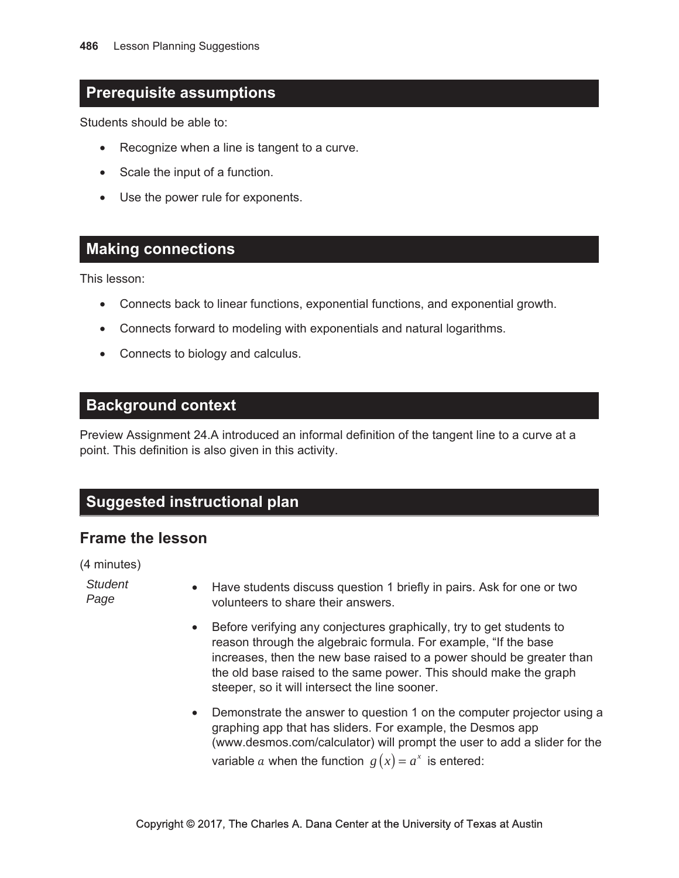# **Prerequisite assumptions**

Students should be able to:

- Recognize when a line is tangent to a curve.  $\bullet$
- Scale the input of a function.
- Use the power rule for exponents.

### **Making connections**

This lesson:

- Connects back to linear functions, exponential functions, and exponential growth.
- Connects forward to modeling with exponentials and natural logarithms.
- Connects to biology and calculus.

### **Background context**

Preview Assignment 24.A introduced an informal definition of the tangent line to a curve at a point. This definition is also given in this activity.

# **Suggested instructional plan**

## **Frame the lesson**

(4 minutes)

**Student** Page

- Have students discuss question 1 briefly in pairs. Ask for one or two volunteers to share their answers.
- Before verifying any conjectures graphically, try to get students to reason through the algebraic formula. For example, "If the base increases, then the new base raised to a power should be greater than the old base raised to the same power. This should make the graph steeper, so it will intersect the line sooner.
- Demonstrate the answer to question 1 on the computer projector using a graphing app that has sliders. For example, the Desmos app (www.desmos.com/calculator) will prompt the user to add a slider for the variable a when the function  $g(x) = a^x$  is entered: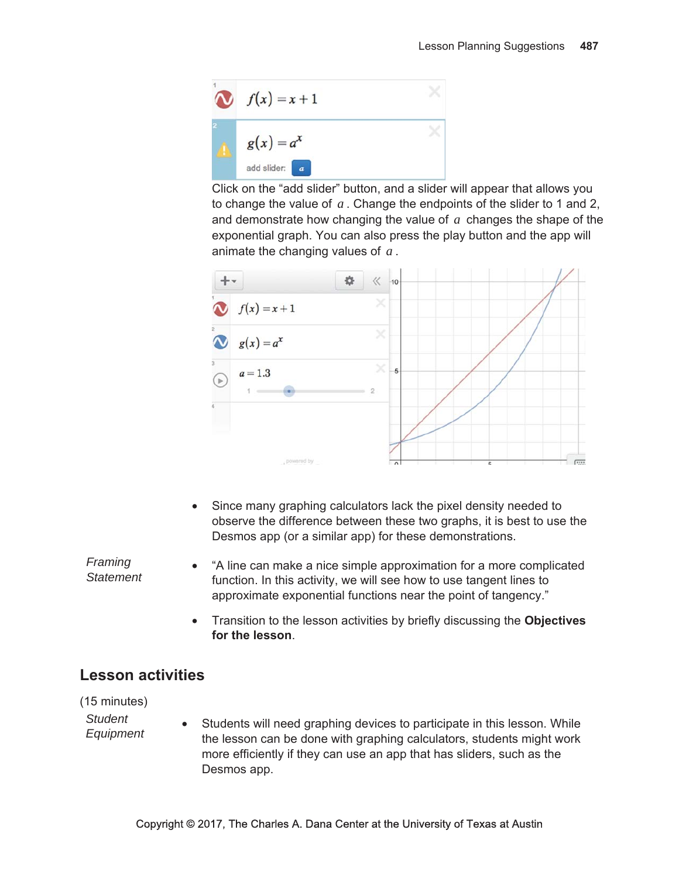

Click on the "add slider" button, and a slider will appear that allows you to change the value of  $a$ . Change the endpoints of the slider to 1 and 2, and demonstrate how changing the value of  $a$  changes the shape of the exponential graph. You can also press the play button and the app will animate the changing values of  $a$ .



• Since many graphing calculators lack the pixel density needed to observe the difference between these two graphs, it is best to use the Desmos app (or a similar app) for these demonstrations.

"A line can make a nice simple approximation for a more complicated  $\bullet$ function. In this activity, we will see how to use tangent lines to approximate exponential functions near the point of tangency."

• Transition to the lesson activities by briefly discussing the Objectives for the lesson.

# **Lesson activities**

(15 minutes)

Framing

**Statement** 

**Student** Equipment

Students will need graphing devices to participate in this lesson. While the lesson can be done with graphing calculators, students might work more efficiently if they can use an app that has sliders, such as the Desmos app.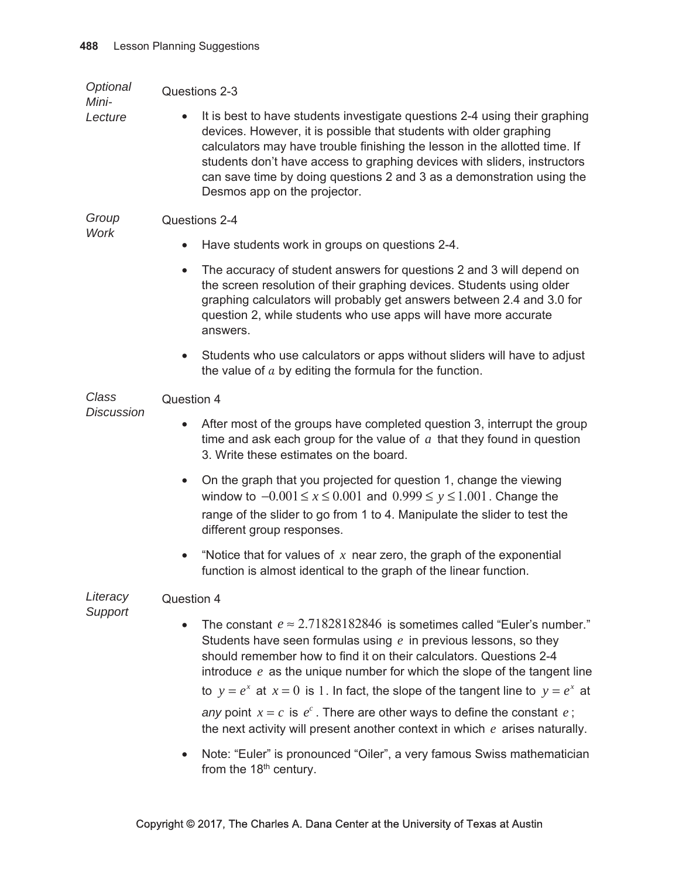Optional Questions 2-3

Mini-Lecture

It is best to have students investigate questions 2-4 using their graphing devices. However, it is possible that students with older graphing calculators may have trouble finishing the lesson in the allotted time. If students don't have access to graphing devices with sliders, instructors can save time by doing questions 2 and 3 as a demonstration using the Desmos app on the projector.

### Group Questions 2-4 **Work**

- Have students work in groups on questions 2-4.
- The accuracy of student answers for questions 2 and 3 will depend on the screen resolution of their graphing devices. Students using older graphing calculators will probably get answers between 2.4 and 3.0 for question 2, while students who use apps will have more accurate answers.
- Students who use calculators or apps without sliders will have to adjust the value of  $a$  by editing the formula for the function.

#### Class Question 4

**Discussion** 

- After most of the groups have completed question 3, interrupt the group time and ask each group for the value of  $a$  that they found in question 3. Write these estimates on the board.
- On the graph that you projected for question 1, change the viewing window to  $-0.001 \le x \le 0.001$  and  $0.999 \le y \le 1.001$ . Change the range of the slider to go from 1 to 4. Manipulate the slider to test the different group responses.
- "Notice that for values of  $x$  near zero, the graph of the exponential function is almost identical to the graph of the linear function.

#### Literacy Question 4

Support

• The constant  $e \approx 2.71828182846$  is sometimes called "Euler's number." Students have seen formulas using  $e$  in previous lessons, so they should remember how to find it on their calculators. Questions 2-4 introduce  $e$  as the unique number for which the slope of the tangent line to  $y = e^x$  at  $x = 0$  is 1. In fact, the slope of the tangent line to  $y = e^x$  at

any point  $x = c$  is  $e^c$ . There are other ways to define the constant  $e$ ; the next activity will present another context in which  $e$  arises naturally.

• Note: "Euler" is pronounced "Oiler", a very famous Swiss mathematician from the 18<sup>th</sup> century.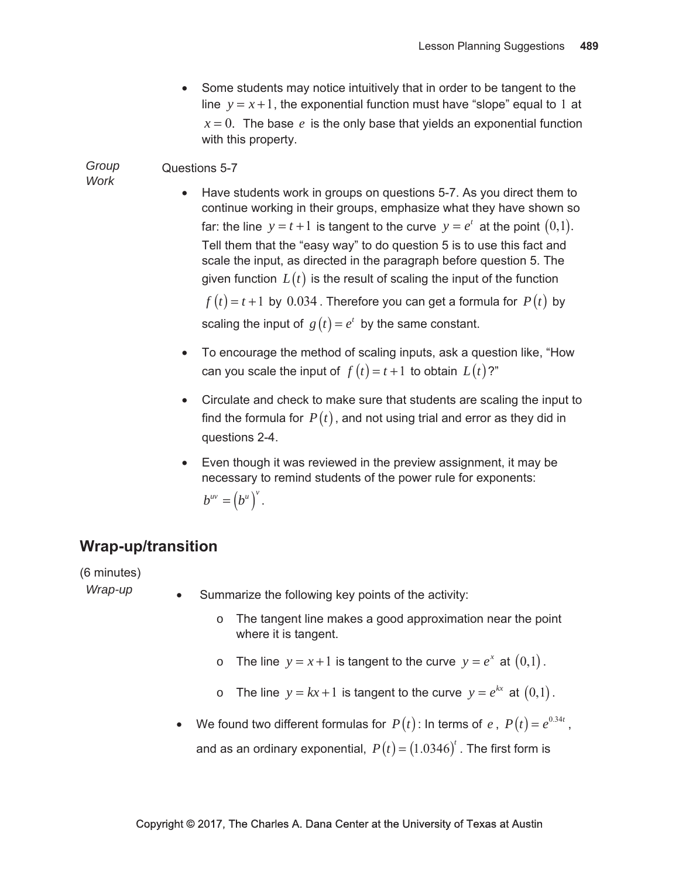• Some students may notice intuitively that in order to be tangent to the line  $y = x + 1$ , the exponential function must have "slope" equal to 1 at  $x = 0$ . The base e is the only base that yields an exponential function with this property.

#### Group Questions 5-7

**Work** 

- Have students work in groups on questions 5-7. As you direct them to continue working in their groups, emphasize what they have shown so far: the line  $y = t + 1$  is tangent to the curve  $y = e^t$  at the point  $(0,1)$ . Tell them that the "easy way" to do question 5 is to use this fact and scale the input, as directed in the paragraph before question 5. The given function  $L(t)$  is the result of scaling the input of the function  $f(t) = t + 1$  by 0.034. Therefore you can get a formula for  $P(t)$  by scaling the input of  $g(t) = e^t$  by the same constant.
	- To encourage the method of scaling inputs, ask a question like, "How can you scale the input of  $f(t) = t + 1$  to obtain  $L(t)$ ?"
	- Circulate and check to make sure that students are scaling the input to find the formula for  $P(t)$ , and not using trial and error as they did in questions 2-4.
	- Even though it was reviewed in the preview assignment, it may be necessary to remind students of the power rule for exponents:

$$
b^{uv} = (b^u)^v.
$$

# **Wrap-up/transition**

(6 minutes)

Wrap-up

- Summarize the following key points of the activity:
	- $\circ$  The tangent line makes a good approximation near the point where it is tangent.
	- o The line  $y = x + 1$  is tangent to the curve  $y = e^x$  at  $(0,1)$ .
	- The line  $y = kx + 1$  is tangent to the curve  $y = e^{kx}$  at  $(0,1)$ .  $\circ$
- We found two different formulas for  $P(t)$ : In terms of  $e$ ,  $P(t) = e^{0.34t}$ ,  $\bullet$ 
	- and as an ordinary exponential,  $P(t) = (1.0346)^t$ . The first form is